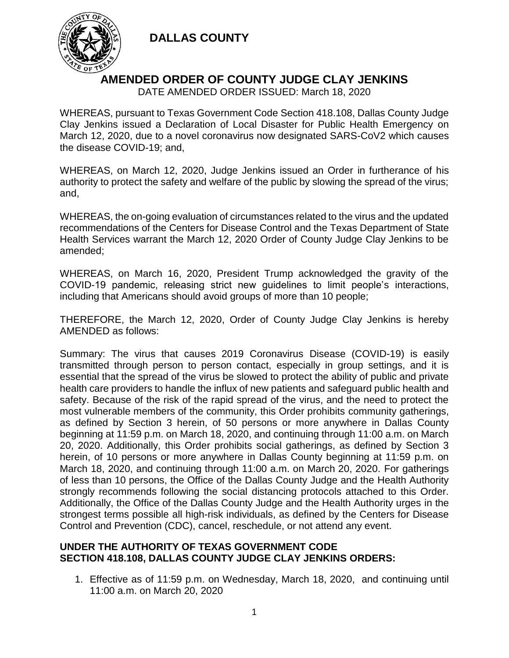

### **AMENDED ORDER OF COUNTY JUDGE CLAY JENKINS**

DATE AMENDED ORDER ISSUED: March 18, 2020

WHEREAS, pursuant to Texas Government Code Section 418.108, Dallas County Judge Clay Jenkins issued a Declaration of Local Disaster for Public Health Emergency on March 12, 2020, due to a novel coronavirus now designated SARS-CoV2 which causes the disease COVID-19; and,

WHEREAS, on March 12, 2020, Judge Jenkins issued an Order in furtherance of his authority to protect the safety and welfare of the public by slowing the spread of the virus; and,

WHEREAS, the on-going evaluation of circumstances related to the virus and the updated recommendations of the Centers for Disease Control and the Texas Department of State Health Services warrant the March 12, 2020 Order of County Judge Clay Jenkins to be amended;

WHEREAS, on March 16, 2020, President Trump acknowledged the gravity of the COVID-19 pandemic, releasing strict new guidelines to limit people's interactions, including that Americans should avoid groups of more than 10 people;

THEREFORE, the March 12, 2020, Order of County Judge Clay Jenkins is hereby AMENDED as follows:

Summary: The virus that causes 2019 Coronavirus Disease (COVID-19) is easily transmitted through person to person contact, especially in group settings, and it is essential that the spread of the virus be slowed to protect the ability of public and private health care providers to handle the influx of new patients and safeguard public health and safety. Because of the risk of the rapid spread of the virus, and the need to protect the most vulnerable members of the community, this Order prohibits community gatherings, as defined by Section 3 herein, of 50 persons or more anywhere in Dallas County beginning at 11:59 p.m. on March 18, 2020, and continuing through 11:00 a.m. on March 20, 2020. Additionally, this Order prohibits social gatherings, as defined by Section 3 herein, of 10 persons or more anywhere in Dallas County beginning at 11:59 p.m. on March 18, 2020, and continuing through 11:00 a.m. on March 20, 2020. For gatherings of less than 10 persons, the Office of the Dallas County Judge and the Health Authority strongly recommends following the social distancing protocols attached to this Order. Additionally, the Office of the Dallas County Judge and the Health Authority urges in the strongest terms possible all high-risk individuals, as defined by the Centers for Disease Control and Prevention (CDC), cancel, reschedule, or not attend any event.

#### **UNDER THE AUTHORITY OF TEXAS GOVERNMENT CODE SECTION 418.108, DALLAS COUNTY JUDGE CLAY JENKINS ORDERS:**

1. Effective as of 11:59 p.m. on Wednesday, March 18, 2020, and continuing until 11:00 a.m. on March 20, 2020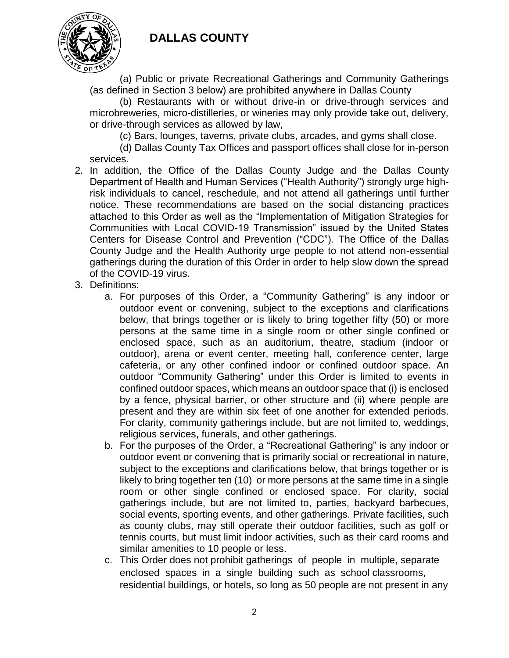

(a) Public or private Recreational Gatherings and Community Gatherings (as defined in Section 3 below) are prohibited anywhere in Dallas County

(b) Restaurants with or without drive-in or drive-through services and microbreweries, micro-distilleries, or wineries may only provide take out, delivery, or drive-through services as allowed by law,

(c) Bars, lounges, taverns, private clubs, arcades, and gyms shall close.

(d) Dallas County Tax Offices and passport offices shall close for in-person services.

- 2. In addition, the Office of the Dallas County Judge and the Dallas County Department of Health and Human Services ("Health Authority") strongly urge highrisk individuals to cancel, reschedule, and not attend all gatherings until further notice. These recommendations are based on the social distancing practices attached to this Order as well as the "Implementation of Mitigation Strategies for Communities with Local COVID-19 Transmission" issued by the United States Centers for Disease Control and Prevention ("CDC"). The Office of the Dallas County Judge and the Health Authority urge people to not attend non-essential gatherings during the duration of this Order in order to help slow down the spread of the COVID-19 virus.
- 3. Definitions:
	- a. For purposes of this Order, a "Community Gathering" is any indoor or outdoor event or convening, subject to the exceptions and clarifications below, that brings together or is likely to bring together fifty (50) or more persons at the same time in a single room or other single confined or enclosed space, such as an auditorium, theatre, stadium (indoor or outdoor), arena or event center, meeting hall, conference center, large cafeteria, or any other confined indoor or confined outdoor space. An outdoor "Community Gathering" under this Order is limited to events in confined outdoor spaces, which means an outdoor space that (i) is enclosed by a fence, physical barrier, or other structure and (ii) where people are present and they are within six feet of one another for extended periods. For clarity, community gatherings include, but are not limited to, weddings, religious services, funerals, and other gatherings.
	- b. For the purposes of the Order, a "Recreational Gathering" is any indoor or outdoor event or convening that is primarily social or recreational in nature, subject to the exceptions and clarifications below, that brings together or is likely to bring together ten (10) or more persons at the same time in a single room or other single confined or enclosed space. For clarity, social gatherings include, but are not limited to, parties, backyard barbecues, social events, sporting events, and other gatherings. Private facilities, such as county clubs, may still operate their outdoor facilities, such as golf or tennis courts, but must limit indoor activities, such as their card rooms and similar amenities to 10 people or less.
	- c. This Order does not prohibit gatherings of people in multiple, separate enclosed spaces in a single building such as school classrooms, residential buildings, or hotels, so long as 50 people are not present in any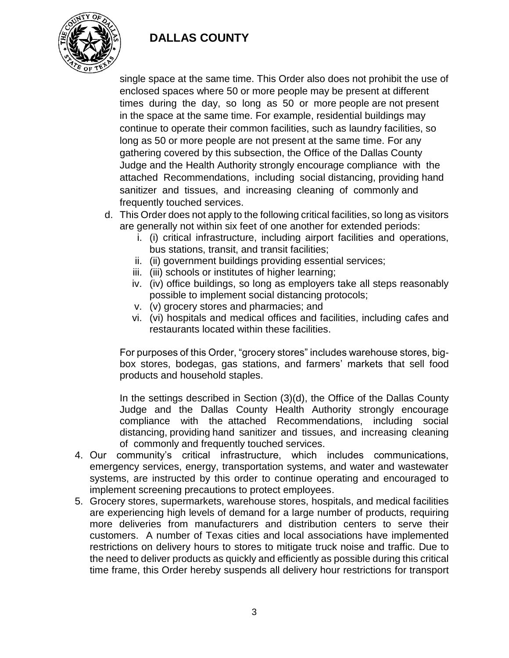

single space at the same time. This Order also does not prohibit the use of enclosed spaces where 50 or more people may be present at different times during the day, so long as 50 or more people are not present in the space at the same time. For example, residential buildings may continue to operate their common facilities, such as laundry facilities, so long as 50 or more people are not present at the same time. For any gathering covered by this subsection, the Office of the Dallas County Judge and the Health Authority strongly encourage compliance with the attached Recommendations, including social distancing, providing hand sanitizer and tissues, and increasing cleaning of commonly and frequently touched services.

- d. This Order does not apply to the following critical facilities, so long as visitors are generally not within six feet of one another for extended periods:
	- i. (i) critical infrastructure, including airport facilities and operations, bus stations, transit, and transit facilities;
	- ii. (ii) government buildings providing essential services;
	- iii. (iii) schools or institutes of higher learning;
	- iv. (iv) office buildings, so long as employers take all steps reasonably possible to implement social distancing protocols;
	- v. (v) grocery stores and pharmacies; and
	- vi. (vi) hospitals and medical offices and facilities, including cafes and restaurants located within these facilities.

For purposes of this Order, "grocery stores" includes warehouse stores, bigbox stores, bodegas, gas stations, and farmers' markets that sell food products and household staples.

In the settings described in Section (3)(d), the Office of the Dallas County Judge and the Dallas County Health Authority strongly encourage compliance with the attached Recommendations, including social distancing, providing hand sanitizer and tissues, and increasing cleaning of commonly and frequently touched services.

- 4. Our community's critical infrastructure, which includes communications, emergency services, energy, transportation systems, and water and wastewater systems, are instructed by this order to continue operating and encouraged to implement screening precautions to protect employees.
- 5. Grocery stores, supermarkets, warehouse stores, hospitals, and medical facilities are experiencing high levels of demand for a large number of products, requiring more deliveries from manufacturers and distribution centers to serve their customers. A number of Texas cities and local associations have implemented restrictions on delivery hours to stores to mitigate truck noise and traffic. Due to the need to deliver products as quickly and efficiently as possible during this critical time frame, this Order hereby suspends all delivery hour restrictions for transport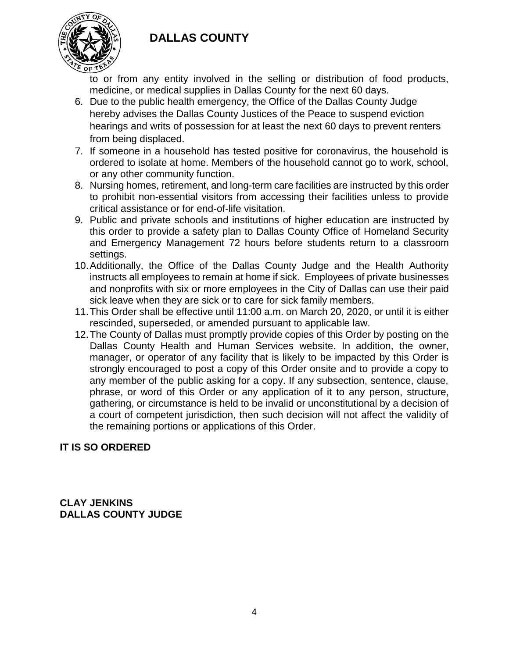

to or from any entity involved in the selling or distribution of food products, medicine, or medical supplies in Dallas County for the next 60 days.

- 6. Due to the public health emergency, the Office of the Dallas County Judge hereby advises the Dallas County Justices of the Peace to suspend eviction hearings and writs of possession for at least the next 60 days to prevent renters from being displaced.
- 7. If someone in a household has tested positive for coronavirus, the household is ordered to isolate at home. Members of the household cannot go to work, school, or any other community function.
- 8. Nursing homes, retirement, and long-term care facilities are instructed by this order to prohibit non-essential visitors from accessing their facilities unless to provide critical assistance or for end-of-life visitation.
- 9. Public and private schools and institutions of higher education are instructed by this order to provide a safety plan to Dallas County Office of Homeland Security and Emergency Management 72 hours before students return to a classroom settings.
- 10.Additionally, the Office of the Dallas County Judge and the Health Authority instructs all employees to remain at home if sick. Employees of private businesses and nonprofits with six or more employees in the City of Dallas can use their paid sick leave when they are sick or to care for sick family members.
- 11.This Order shall be effective until 11:00 a.m. on March 20, 2020, or until it is either rescinded, superseded, or amended pursuant to applicable law.
- 12.The County of Dallas must promptly provide copies of this Order by posting on the Dallas County Health and Human Services website. In addition, the owner, manager, or operator of any facility that is likely to be impacted by this Order is strongly encouraged to post a copy of this Order onsite and to provide a copy to any member of the public asking for a copy. If any subsection, sentence, clause, phrase, or word of this Order or any application of it to any person, structure, gathering, or circumstance is held to be invalid or unconstitutional by a decision of a court of competent jurisdiction, then such decision will not affect the validity of the remaining portions or applications of this Order.

### **IT IS SO ORDERED**

**CLAY JENKINS DALLAS COUNTY JUDGE**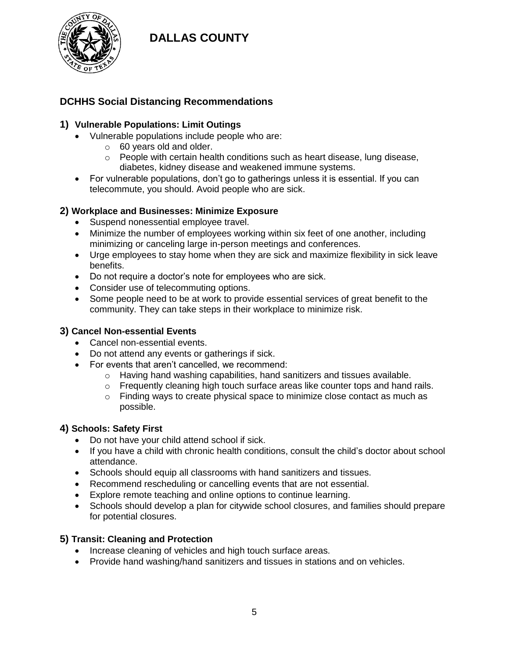

### **DCHHS Social Distancing Recommendations**

#### **1) Vulnerable Populations: Limit Outings**

- Vulnerable populations include people who are:
	- o 60 years old and older.
	- $\circ$  People with certain health conditions such as heart disease, lung disease, diabetes, kidney disease and weakened immune systems.
- For vulnerable populations, don't go to gatherings unless it is essential. If you can telecommute, you should. Avoid people who are sick.

#### **2) Workplace and Businesses: Minimize Exposure**

- Suspend nonessential employee travel.
- Minimize the number of employees working within six feet of one another, including minimizing or canceling large in-person meetings and conferences.
- Urge employees to stay home when they are sick and maximize flexibility in sick leave benefits.
- Do not require a doctor's note for employees who are sick.
- Consider use of telecommuting options.
- Some people need to be at work to provide essential services of great benefit to the community. They can take steps in their workplace to minimize risk.

#### **3) Cancel Non-essential Events**

- Cancel non-essential events.
- Do not attend any events or gatherings if sick.
- For events that aren't cancelled, we recommend:
	- o Having hand washing capabilities, hand sanitizers and tissues available.
	- $\circ$  Frequently cleaning high touch surface areas like counter tops and hand rails.
	- $\circ$  Finding ways to create physical space to minimize close contact as much as possible.

#### **4) Schools: Safety First**

- Do not have your child attend school if sick.
- If you have a child with chronic health conditions, consult the child's doctor about school attendance.
- Schools should equip all classrooms with hand sanitizers and tissues.
- Recommend rescheduling or cancelling events that are not essential.
- Explore remote teaching and online options to continue learning.
- Schools should develop a plan for citywide school closures, and families should prepare for potential closures.

#### **5) Transit: Cleaning and Protection**

- Increase cleaning of vehicles and high touch surface areas.
- Provide hand washing/hand sanitizers and tissues in stations and on vehicles.